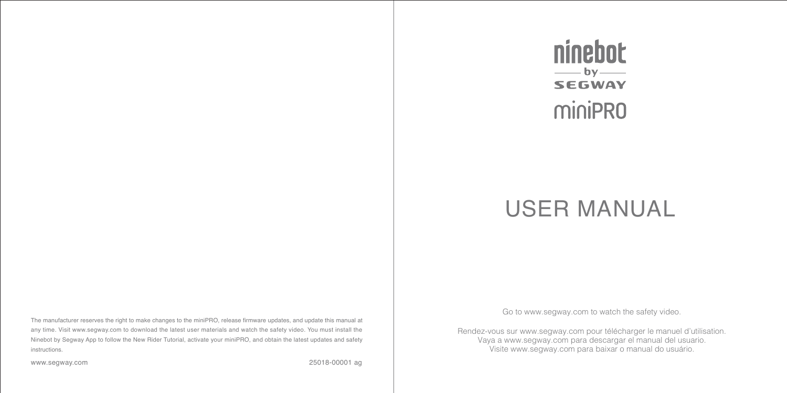#### The manufacturer reserves the right to make changes to the miniPRO, release firmware updates, and update this manual at any time. Visit www.segway.com to download the latest user materials and watch the safety video. You must install the Ninebot by Segway App to follow the New Rider Tutorial, activate your miniPRO, and obtain the latest updates and safety instructions.

www.segway.com

25018-00001 ag



# USER MANUAL

Go to www.segway.com to watch the safety video.

Rendez-vous sur www.segway.com pour télécharger le manuel d'utilisation. Vaya a www.segway.com para descargar el manual del usuario. Visite www.segway.com para baixar o manual do usuário.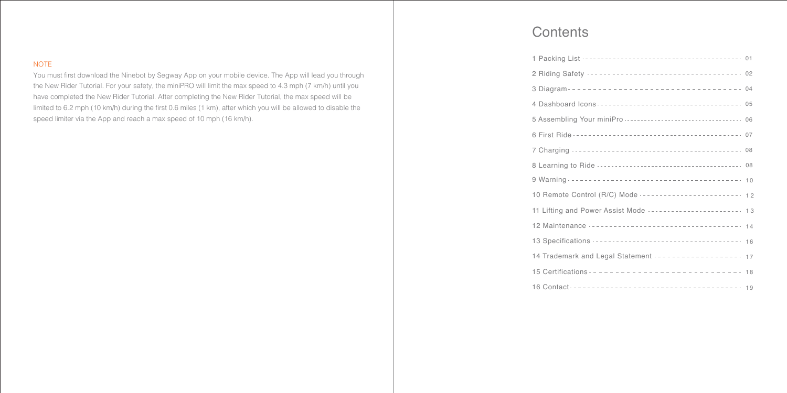### **NOTE**

You must first download the Ninebot by Segway App on your mobile device. The App will lead you through the New Rider Tutorial. For your safety, the miniPRO will limit the max speed to 4.3 mph (7 km/h) until you have completed the New Rider Tutorial. After completing the New Rider Tutorial, the max speed will be limited to 6.2 mph (10 km/h) during the first 0.6 miles (1 km), after which you will be allowed to disable the speed limiter via the App and reach a max speed of 10 mph (16 km/h).

### **Contents**

| 2 Riding Safety ----------------------------------- 02       |  |
|--------------------------------------------------------------|--|
|                                                              |  |
| 4 Dashboard Icons ----------------------------------- 05     |  |
|                                                              |  |
|                                                              |  |
|                                                              |  |
|                                                              |  |
|                                                              |  |
| 10 Remote Control (R/C) Mode ------------------------- 12    |  |
| 11 Lifting and Power Assist Mode ------------------------ 13 |  |
|                                                              |  |
|                                                              |  |
| 14 Trademark and Legal Statement ------------------- 17      |  |
|                                                              |  |
|                                                              |  |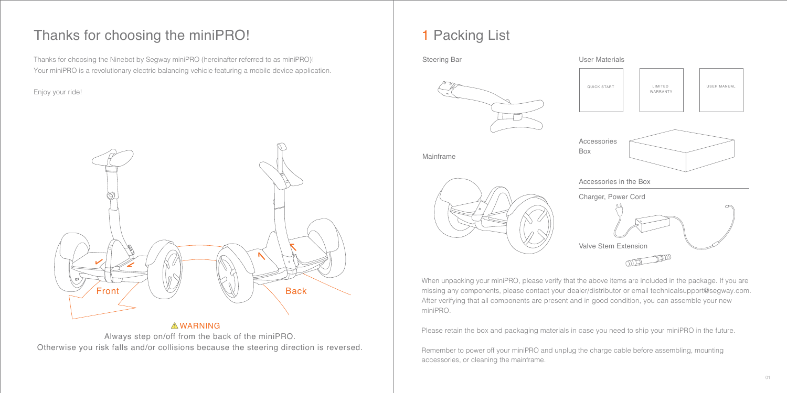### Thanks for choosing the miniPRO!

Thanks for choosing the Ninebot by Segway miniPRO (hereinafter referred to as miniPRO)! Your miniPRO is a revolutionary electric balancing vehicle featuring a mobile device application.

Enjoy your ride!



### **AWARNING**

Always step on/off from the back of the miniPRO. Otherwise you risk falls and/or collisions because the steering direction is reversed.

## 1 Packing List



When unpacking your miniPRO, please verify that the above items are included in the package. If you are missing any components, please contact your dealer/distributor or email technicalsupport@segway.com. After verifying that all components are present and in good condition, you can assemble your new miniPRO.

Please retain the box and packaging materials in case you need to ship your miniPRO in the future.

Remember to power off your miniPRO and unplug the charge cable before assembling, mounting accessories, or cleaning the mainframe.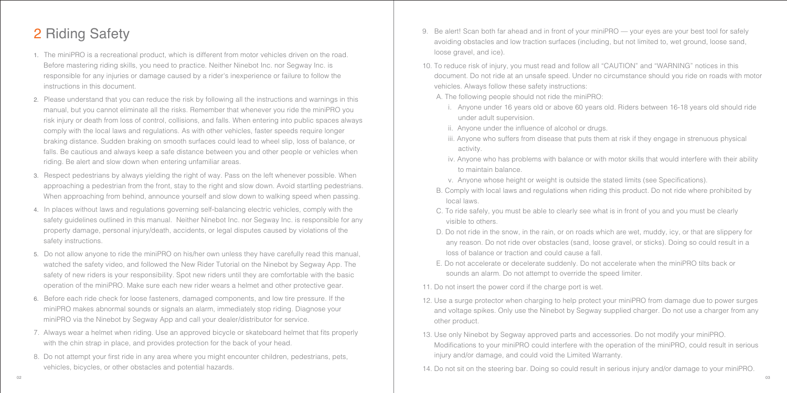## 2 Riding Safety

- 1. The miniPRO is a recreational product, which is different from motor vehicles driven on the road. Before mastering riding skills, you need to practice. Neither Ninebot Inc. nor Segway Inc. is responsible for any injuries or damage caused by a rider's inexperience or failure to follow the instructions in this document.
- 2. Please understand that you can reduce the risk by following all the instructions and warnings in this manual, but you cannot eliminate all the risks. Remember that whenever you ride the miniPRO you risk injury or death from loss of control, collisions, and falls. When entering into public spaces always comply with the local laws and regulations. As with other vehicles, faster speeds require longer braking distance. Sudden braking on smooth surfaces could lead to wheel slip, loss of balance, or falls. Be cautious and always keep a safe distance between you and other people or vehicles when riding. Be alert and slow down when entering unfamiliar areas.
- 3. Respect pedestrians by always yielding the right of way. Pass on the left whenever possible. When approaching a pedestrian from the front, stay to the right and slow down. Avoid startling pedestrians. When approaching from behind, announce yourself and slow down to walking speed when passing.
- 4. In places without laws and regulations governing self-balancing electric vehicles, comply with the safety guidelines outlined in this manual. Neither Ninebot Inc. nor Segway Inc. is responsible for any property damage, personal injury/death, accidents, or legal disputes caused by violations of the safety instructions.
- 5. Do not allow anyone to ride the miniPRO on his/her own unless they have carefully read this manual, watched the safety video, and followed the New Rider Tutorial on the Ninebot by Segway App. The safety of new riders is your responsibility. Spot new riders until they are comfortable with the basic operation of the miniPRO. Make sure each new rider wears a helmet and other protective gear.
- 6. Before each ride check for loose fasteners, damaged components, and low tire pressure. If the miniPRO makes abnormal sounds or signals an alarm, immediately stop riding. Diagnose your miniPRO via the Ninebot by Segway App and call your dealer/distributor for service.
- 7. Always wear a helmet when riding. Use an approved bicycle or skateboard helmet that fits properly with the chin strap in place, and provides protection for the back of your head.
- 8. Do not attempt your first ride in any area where you might encounter children, pedestrians, pets, vehicles, bicycles, or other obstacles and potential hazards.
- 9. Be alert! Scan both far ahead and in front of your miniPRO your eyes are your best tool for safely avoiding obstacles and low traction surfaces (including, but not limited to, wet ground, loose sand, loose gravel, and ice).
- 10. To reduce risk of injury, you must read and follow all "CAUTION" and "WARNING" notices in this document. Do not ride at an unsafe speed. Under no circumstance should you ride on roads with motor vehicles. Always follow these safety instructions:
	- A. The following people should not ride the miniPRO:
		- i. Anyone under 16 years old or above 60 years old. Riders between 16-18 years old should ride under adult supervision.
		- ii. Anyone under the influence of alcohol or drugs.
		- iii. Anyone who suffers from disease that puts them at risk if they engage in strenuous physical activity.
		- iv. Anyone who has problems with balance or with motor skills that would interfere with their ability to maintain balance.
		- v. Anyone whose height or weight is outside the stated limits (see Specifications).
	- B. Comply with local laws and regulations when riding this product. Do not ride where prohibited by local laws.
	- C. To ride safely, you must be able to clearly see what is in front of you and you must be clearly visible to others.
	- D. Do not ride in the snow, in the rain, or on roads which are wet, muddy, icy, or that are slippery for any reason. Do not ride over obstacles (sand, loose gravel, or sticks). Doing so could result in a loss of balance or traction and could cause a fall.
	- E. Do not accelerate or decelerate suddenly. Do not accelerate when the miniPRO tilts back or sounds an alarm. Do not attempt to override the speed limiter.
- 11. Do not insert the power cord if the charge port is wet.
- 12. Use a surge protector when charging to help protect your miniPRO from damage due to power surges and voltage spikes. Only use the Ninebot by Segway supplied charger. Do not use a charger from any other product.
- 13. Use only Ninebot by Segway approved parts and accessories. Do not modify your miniPRO. Modifications to your miniPRO could interfere with the operation of the miniPRO, could result in serious injury and/or damage, and could void the Limited Warranty.

14. Do not sit on the steering bar. Doing so could result in serious injury and/or damage to your miniPRO.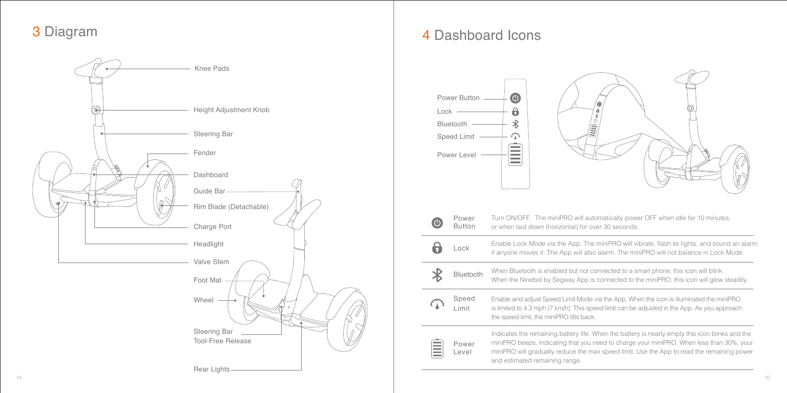### 3 Diagram



### 4 Dashboard Icons

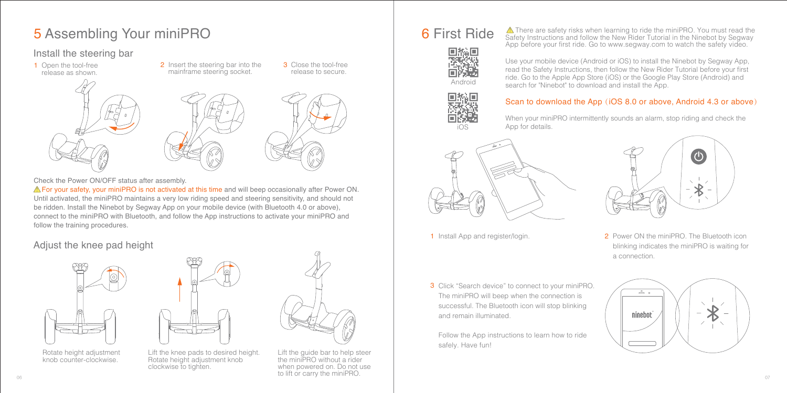### **5 Assembling Your miniPRO** 6 First Ride

### Install the steering bar

1 Open the tool-free

1 Open the tool-free **2** Insert the steering bar into the **3** release as shown.



release to secure.

3 Close the tool-free



**A** For your safety, your miniPRO is not activated at this time and will beep occasionally after Power ON. Until activated, the miniPRO maintains a very low riding speed and steering sensitivity, and should not be ridden. Install the Ninebot by Segway App on your mobile device (with Bluetooth 4.0 or above), connect to the miniPRO with Bluetooth, and follow the App instructions to activate your miniPRO and follow the training procedures.

### Adjust the knee pad height





Rotate height adjustment knob counter-clockwise.



Lift the knee pads to desired height. Rotate height adjustment knob clockwise to tighten.







iOS

### Scan to download the App (iOS 8.0 or above, Android 4.3 or above)

Use your mobile device (Android or iOS) to install the Ninebot by Segway App, read the Safety Instructions, then follow the New Rider Tutorial before your first ride. Go to the Apple App Store (iOS) or the Google Play Store (Android) and

 There are safety risks when learning to ride the miniPRO. You must read the Safety Instructions and follow the New Rider Tutorial in the Ninebot by Segway App before your first ride. Go to www.segway.com to watch the safety video.

search for "Ninebot" to download and install the App.

When your miniPRO intermittently sounds an alarm, stop riding and check the App for details.





- 
- 1 Install App and register/login. **2** Power ON the miniPRO. The Bluetooth icon blinking indicates the miniPRO is waiting for a connection.
- 3 Click "Search device" to connect to your miniPRO. The miniPRO will beep when the connection is successful. The Bluetooth icon will stop blinking and remain illuminated.

Follow the App instructions to learn how to ride safely. Have fun!

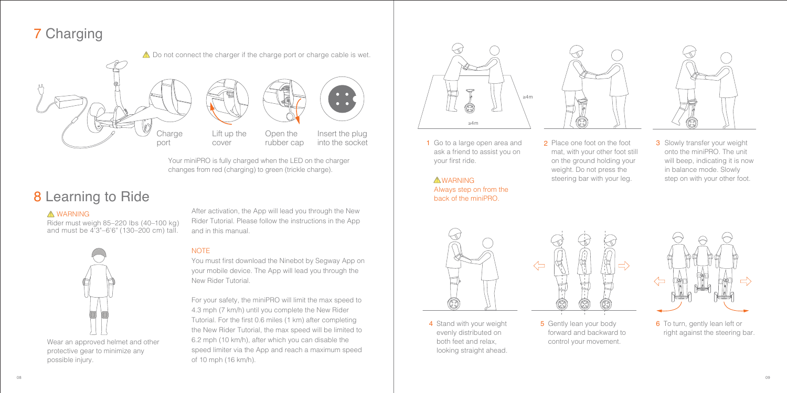## 7 Charging



Your miniPRO is fully charged when the LED on the charger changes from red (charging) to green (trickle charge).

### 8 Learning to Ride

### A WARNING

Rider must weigh 85–220 lbs (40–100 kg) and must be 4'3"–6'6" (130–200 cm) tall.



Wear an approved helmet and other protective gear to minimize any possible injury.

After activation, the App will lead you through the New Rider Tutorial. Please follow the instructions in the App and in this manual.

#### **NOTE**

You must first download the Ninebot by Segway App on your mobile device. The App will lead you through the New Rider Tutorial.

For your safety, the miniPRO will limit the max speed to 4.3 mph (7 km/h) until you complete the New Rider Tutorial. For the first 0.6 miles (1 km) after completing the New Rider Tutorial, the max speed will be limited to 6.2 mph (10 km/h), after which you can disable the speed limiter via the App and reach a maximum speed of 10 mph (16 km/h).



1 Go to a large open area and ask a friend to assist you on your first ride.

**AWARNING** Always step on from the back of the miniPRO.



2 Place one foot on the foot mat, with your other foot still on the ground holding your weight. Do not press the steering bar with your leg.



**3** Slowly transfer your weight onto the miniPRO. The unit will beep, indicating it is now in balance mode. Slowly step on with your other foot.



4 Stand with your weight evenly distributed on both feet and relax, looking straight ahead.



5 Gently lean your body forward and backward to control your movement. **5** Gently lean your body **6** To turn, gently lean left or



right against the steering bar.

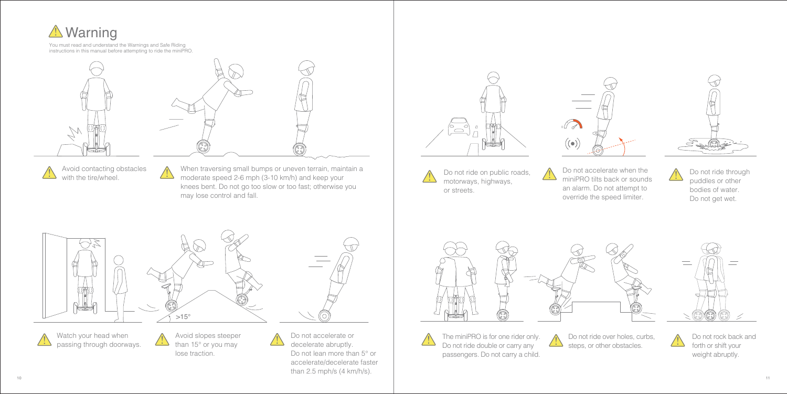

Avoid contacting obstacles with the tire/wheel.

When traversing small bumps or uneven terrain, maintain a moderate speed 2-6 mph (3-10 km/h) and keep your knees bent. Do not go too slow or too fast; otherwise you may lose control and fall.





Do not ride on public roads, motorways, highways, or streets.

Do not accelerate when the miniPRO tilts back or sounds an alarm. Do not attempt to override the speed limiter.



Do not ride through puddles or other bodies of water. Do not get wet.









 $10$ Do not accelerate or decelerate abruptly. Do not lean more than 5° or accelerate/decelerate faster than 2.5 mph/s (4 km/h/s).





 $\angle \Delta$ 

The miniPRO is for one rider only. Do not ride double or carry any passengers. Do not carry a child.

Do not ride over holes, curbs, steps, or other obstacles.

Do not rock back and forth or shift your weight abruptly.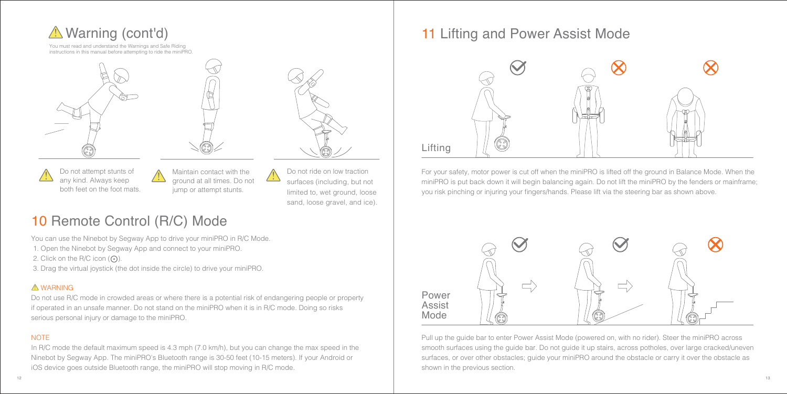





Do not attempt stunts of any kind. Always keep both feet on the foot mats.



jump or attempt stunts.

Do not ride on low traction surfaces (including, but not limited to, wet ground, loose sand, loose gravel, and ice).

## 10 Remote Control (R/C) Mode

You can use the Ninebot by Segway App to drive your miniPRO in R/C Mode.

1. Open the Ninebot by Segway App and connect to your miniPRO.

2. Click on the R/C icon  $(Q)$ .

3. Drag the virtual joystick (the dot inside the circle) to drive your miniPRO.

### WARNING

Do not use R/C mode in crowded areas or where there is a potential risk of endangering people or property if operated in an unsafe manner. Do not stand on the miniPRO when it is in R/C mode. Doing so risks serious personal injury or damage to the miniPRO.

### **NOTE**

In R/C mode the default maximum speed is 4.3 mph (7.0 km/h), but you can change the max speed in the Ninebot by Segway App. The miniPRO's Bluetooth range is 30-50 feet (10-15 meters). If your Android or iOS device goes outside Bluetooth range, the miniPRO will stop moving in R/C mode.

### 11 Lifting and Power Assist Mode



For your safety, motor power is cut off when the miniPRO is lifted off the ground in Balance Mode. When the miniPRO is put back down it will begin balancing again. Do not lift the miniPRO by the fenders or mainframe; you risk pinching or injuring your fingers/hands. Please lift via the steering bar as shown above.



Pull up the guide bar to enter Power Assist Mode (powered on, with no rider). Steer the miniPRO across smooth surfaces using the guide bar. Do not guide it up stairs, across potholes, over large cracked/uneven surfaces, or over other obstacles; guide your miniPRO around the obstacle or carry it over the obstacle as shown in the previous section.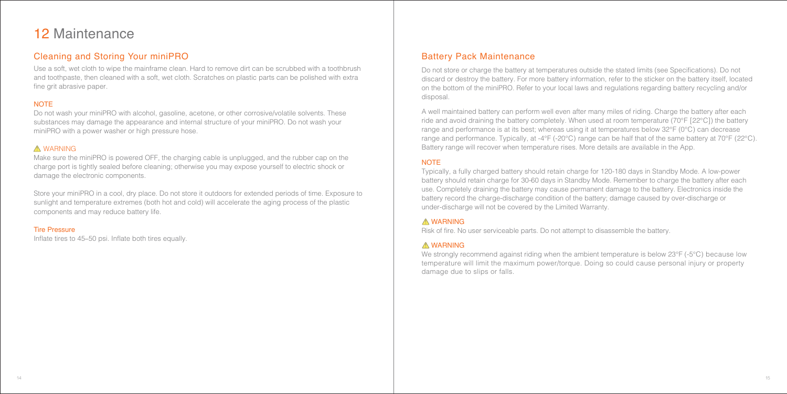### 12 Maintenance

### Cleaning and Storing Your miniPRO Battery Pack Maintenance

Use a soft, wet cloth to wipe the mainframe clean. Hard to remove dirt can be scrubbed with a toothbrush and toothpaste, then cleaned with a soft, wet cloth. Scratches on plastic parts can be polished with extra fine grit abrasive paper.

### **NOTE**

Do not wash your miniPRO with alcohol, gasoline, acetone, or other corrosive/volatile solvents. These substances may damage the appearance and internal structure of your miniPRO. Do not wash your miniPRO with a power washer or high pressure hose.

#### A WARNING

Make sure the miniPRO is powered OFF, the charging cable is unplugged, and the rubber cap on the charge port is tightly sealed before cleaning; otherwise you may expose yourself to electric shock or damage the electronic components.

Store your miniPRO in a cool, dry place. Do not store it outdoors for extended periods of time. Exposure to sunlight and temperature extremes (both hot and cold) will accelerate the aging process of the plastic components and may reduce battery life.

#### Tire Pressure

Inflate tires to 45–50 psi. Inflate both tires equally.

Do not store or charge the battery at temperatures outside the stated limits (see Specifications). Do not discard or destroy the battery. For more battery information, refer to the sticker on the battery itself, located on the bottom of the miniPRO. Refer to your local laws and regulations regarding battery recycling and/or disposal.

A well maintained battery can perform well even after many miles of riding. Charge the battery after each ride and avoid draining the battery completely. When used at room temperature (70°F [22°C]) the battery range and performance is at its best; whereas using it at temperatures below 32°F (0°C) can decrease range and performance. Typically, at -4°F (-20°C) range can be half that of the same battery at 70°F (22°C). Battery range will recover when temperature rises. More details are available in the App.

#### **NOTE**

Typically, a fully charged battery should retain charge for 120-180 days in Standby Mode. A low-power battery should retain charge for 30-60 days in Standby Mode. Remember to charge the battery after each use. Completely draining the battery may cause permanent damage to the battery. Electronics inside the battery record the charge-discharge condition of the battery; damage caused by over-discharge or under-discharge will not be covered by the Limited Warranty.

### **A** WARNING

Risk of fire. No user serviceable parts. Do not attempt to disassemble the battery.

### WARNING

We strongly recommend against riding when the ambient temperature is below 23°F (-5°C) because low temperature will limit the maximum power/torque. Doing so could cause personal injury or property damage due to slips or falls.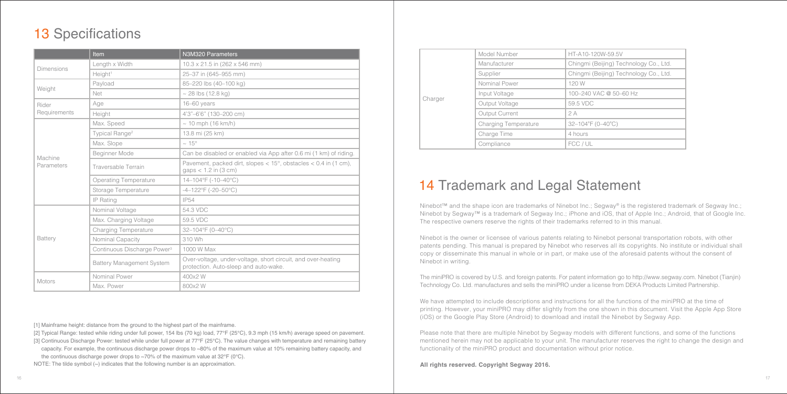### 13 Specifications

|                       | <b>Item</b>                             | N3M320 Parameters                                                                                     |
|-----------------------|-----------------------------------------|-------------------------------------------------------------------------------------------------------|
| Dimensions            | Length x Width                          | 10.3 x 21.5 in (262 x 546 mm)                                                                         |
|                       | Height <sup>1</sup>                     | 25-37 in (645-955 mm)                                                                                 |
|                       | Payload                                 | 85-220 lbs (40-100 kg)                                                                                |
| Weight                | Net                                     | $~28$ lbs (12.8 kg)                                                                                   |
| Rider                 | Age                                     | 16-60 years                                                                                           |
| Requirements          | Height                                  | 4'3"-6'6" (130-200 cm)                                                                                |
|                       | Max. Speed                              | $\sim$ 10 mph (16 km/h)                                                                               |
|                       | Typical Range <sup>2</sup>              | 13.8 mi (25 km)                                                                                       |
|                       | Max. Slope                              | $\sim 15^{\circ}$                                                                                     |
|                       | Beginner Mode                           | Can be disabled or enabled via App after 0.6 mi (1 km) of riding.                                     |
| Machine<br>Parameters | Traversable Terrain                     | Pavement, packed dirt, slopes $<$ 15°, obstacles $<$ 0.4 in (1 cm),<br>gaps $<$ 1.2 in (3 cm)         |
|                       | Operating Temperature                   | 14-104°F (-10-40°C)                                                                                   |
|                       | Storage Temperature                     | $-4-122^{\circ}F$ (-20-50 $^{\circ}C$ )                                                               |
|                       | IP Rating                               | <b>IP54</b>                                                                                           |
|                       | Nominal Voltage                         | 54.3 VDC                                                                                              |
|                       | Max. Charging Voltage                   | 59.5 VDC                                                                                              |
|                       | Charging Temperature                    | 32-104°F (0-40°C)                                                                                     |
| Battery               | Nominal Capacity                        | 310 Wh                                                                                                |
|                       | Continuous Discharge Power <sup>3</sup> | 1000 W Max                                                                                            |
|                       | Battery Management System               | Over-voltage, under-voltage, short circuit, and over-heating<br>protection. Auto-sleep and auto-wake. |
| Motors                | Nominal Power                           | 400x2W                                                                                                |
|                       | Max. Power                              | 800x2 W                                                                                               |

[1] Mainframe height: distance from the ground to the highest part of the mainframe.

- [2] Typical Range: tested while riding under full power, 154 lbs (70 kg) load, 77°F (25°C), 9.3 mph (15 km/h) average speed on pavement.
- [3] Continuous Discharge Power: tested while under full power at 77°F (25°C). The value changes with temperature and remaining battery
- capacity. For example, the continuous discharge power drops to ~80% of the maximum value at 10% remaining battery capacity, and the continuous discharge power drops to ~70% of the maximum value at 32°F (0°C).

NOTE: The tilde symbol (~) indicates that the following number is an approximation.

|         | Model Number         | HT-A10-120W-59.5V                      |
|---------|----------------------|----------------------------------------|
|         | Manufacturer         | Chingmi (Beijing) Technology Co., Ltd. |
|         | Supplier             | Chingmi (Beijing) Technology Co., Ltd. |
|         | Nominal Power        | 120 W                                  |
|         | Input Voltage        | 100-240 VAC @ 50-60 Hz                 |
| Charger | Output Voltage       | 59.5 VDC                               |
|         | Output Current       | 2A                                     |
|         | Charging Temperature | 32-104°F (0-40°C)                      |
|         | Charge Time          | 4 hours                                |
|         | Compliance           | FCC / UL                               |
|         |                      |                                        |

### 14 Trademark and Legal Statement

Ninebot™ and the shape icon are trademarks of Ninebot Inc.; Segway® is the registered trademark of Segway Inc.; Ninebot by Segway™ is a trademark of Segway Inc.; iPhone and iOS, that of Apple Inc.; Android, that of Google Inc. The respective owners reserve the rights of their trademarks referred to in this manual.

Ninebot is the owner or licensee of various patents relating to Ninebot personal transportation robots, with other patents pending. This manual is prepared by Ninebot who reserves all its copyrights. No institute or individual shall copy or disseminate this manual in whole or in part, or make use of the aforesaid patents without the consent of Ninebot in writing.

The miniPRO is covered by U.S. and foreign patents. For patent information go to http://www.segway.com. Ninebot (Tianjin) Technology Co. Ltd. manufactures and sells the miniPRO under a license from DEKA Products Limited Partnership.

We have attempted to include descriptions and instructions for all the functions of the miniPRO at the time of printing. However, your miniPRO may differ slightly from the one shown in this document. Visit the Apple App Store (iOS) or the Google Play Store (Android) to download and install the Ninebot by Segway App.

Please note that there are multiple Ninebot by Segway models with different functions, and some of the functions mentioned herein may not be applicable to your unit. The manufacturer reserves the right to change the design and functionality of the miniPRO product and documentation without prior notice.

#### **All rights reserved. Copyright Segway 2016.**